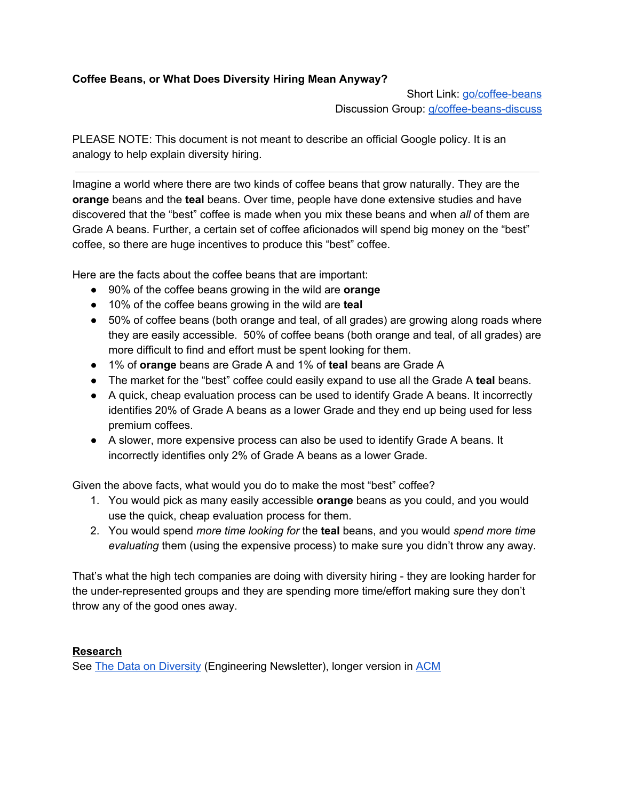## **Coffee Beans, or What Does Diversity Hiring Mean Anyway?**

Short Link: [go/coffee-beans](https://goto.google.com/coffee-beans) Discussion Group: [g/coffee-beans-discuss](https://groups.google.com/a/google.com/forum/#!forum/coffee-beans-discuss)

PLEASE NOTE: This document is not meant to describe an official Google policy. It is an analogy to help explain diversity hiring.

Imagine a world where there are two kinds of coffee beans that grow naturally. They are the **orange** beans and the **teal** beans. Over time, people have done extensive studies and have discovered that the "best" coffee is made when you mix these beans and when *all* of them are Grade A beans. Further, a certain set of coffee aficionados will spend big money on the "best" coffee, so there are huge incentives to produce this "best" coffee.

Here are the facts about the coffee beans that are important:

- 90% of the coffee beans growing in the wild are **orange**
- 10% of the coffee beans growing in the wild are **teal**
- 50% of coffee beans (both orange and teal, of all grades) are growing along roads where they are easily accessible. 50% of coffee beans (both orange and teal, of all grades) are more difficult to find and effort must be spent looking for them.
- 1% of **orange** beans are Grade A and 1% of **teal** beans are Grade A
- The market for the "best" coffee could easily expand to use all the Grade A **teal** beans.
- A quick, cheap evaluation process can be used to identify Grade A beans. It incorrectly identifies 20% of Grade A beans as a lower Grade and they end up being used for less premium coffees.
- A slower, more expensive process can also be used to identify Grade A beans. It incorrectly identifies only 2% of Grade A beans as a lower Grade.

Given the above facts, what would you do to make the most "best" coffee?

- 1. You would pick as many easily accessible **orange** beans as you could, and you would use the quick, cheap evaluation process for them.
- 2. You would spend *more time looking for* the **teal** beans, and you would *spend more time evaluating* them (using the expensive process) to make sure you didn't throw any away.

That's what the high tech companies are doing with diversity hiring - they are looking harder for the under-represented groups and they are spending more time/effort making sure they don't throw any of the good ones away.

## **Research**

See The Data on [Diversity](https://engdoc.corp.google.com/eng/newsletter/newsletter_140_data_on_diversity.html?cl=head) (Engineering Newsletter), longer version in [ACM](http://cacm.acm.org/magazines/2014/11/179827-the-data-on-diversity/fulltext)